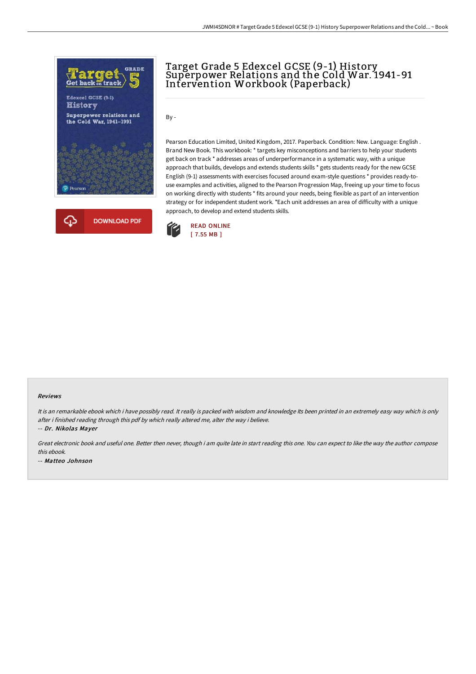

## Target Grade 5 Edexcel GCSE (9-1) History Superpower Relations and the Cold War. 1941-91 Intervention Workbook (Paperback)

By -

Pearson Education Limited, United Kingdom, 2017. Paperback. Condition: New. Language: English . Brand New Book. This workbook: \* targets key misconceptions and barriers to help your students get back on track \* addresses areas of underperformance in a systematic way, with a unique approach that builds, develops and extends students skills \* gets students ready for the new GCSE English (9-1) assessments with exercises focused around exam-style questions \* provides ready-touse examples and activities, aligned to the Pearson Progression Map, freeing up your time to focus on working directly with students \* fits around your needs, being flexible as part of an intervention strategy or for independent student work. \*Each unit addresses an area of difficulty with a unique approach, to develop and extend students skills.



## Reviews

It is an remarkable ebook which i have possibly read. It really is packed with wisdom and knowledge Its been printed in an extremely easy way which is only after i finished reading through this pdf by which really altered me, alter the way i believe.

-- Dr. Nikolas Mayer

Great electronic book and useful one. Better then never, though i am quite late in start reading this one. You can expect to like the way the author compose this ebook. -- Matteo Johnson